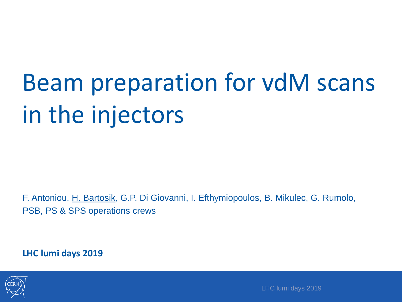## Beam preparation for vdM scans in the injectors

F. Antoniou, H. Bartosik, G.P. Di Giovanni, I. Efthymiopoulos, B. Mikulec, G. Rumolo, PSB, PS & SPS operations crews

**LHC lumi days 2019**



LHC lumi days 2019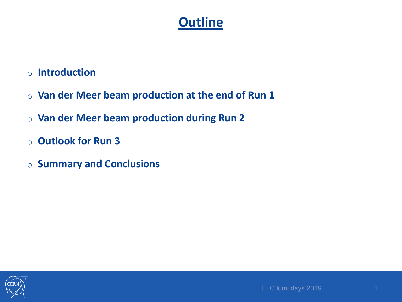- o **Introduction**
- o **Van der Meer beam production at the end of Run 1**
- o **Van der Meer beam production during Run 2**
- o **Outlook for Run 3**
- o **Summary and Conclusions**

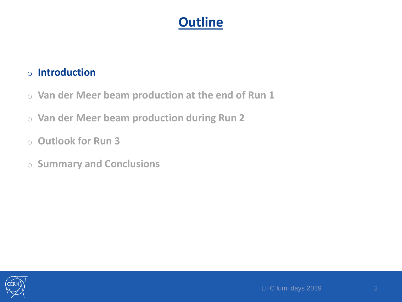#### o **Introduction**

- o **Van der Meer beam production at the end of Run 1**
- o **Van der Meer beam production during Run 2**
- o **Outlook for Run 3**
- o **Summary and Conclusions**

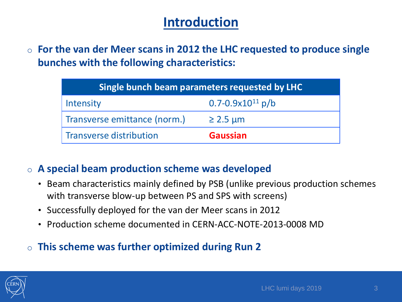## **Introduction**

o **For the van der Meer scans in 2012 the LHC requested to produce single bunches with the following characteristics:**

| Single bunch beam parameters requested by LHC |                         |
|-----------------------------------------------|-------------------------|
| Intensity                                     | $0.7 - 0.9x10^{11} p/b$ |
| Transverse emittance (norm.)                  | $\geq$ 2.5 µm           |
| <b>Transverse distribution</b>                | <b>Gaussian</b>         |

#### o **A special beam production scheme was developed**

- Beam characteristics mainly defined by PSB (unlike previous production schemes with transverse blow-up between PS and SPS with screens)
- Successfully deployed for the van der Meer scans in 2012
- Production scheme documented in CERN-ACC-NOTE-2013-0008 MD

#### o **This scheme was further optimized during Run 2**

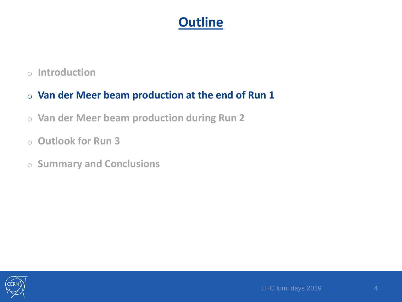o **Introduction**

#### o **Van der Meer beam production at the end of Run 1**

- o **Van der Meer beam production during Run 2**
- o **Outlook for Run 3**
- o **Summary and Conclusions**

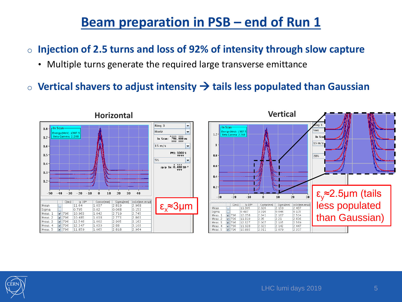- o **Injection of 2.5 turns and loss of 92% of intensity through slow capture**
	- Multiple turns generate the required large transverse emittance
- o **Vertical shavers to adjust intensity tails less populated than Gaussian**



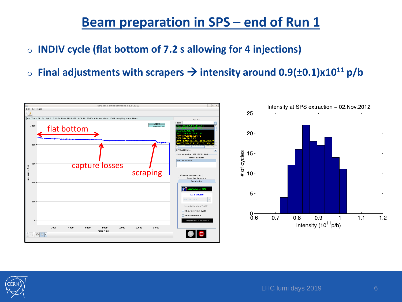#### **Beam preparation in SPS – end of Run 1**

- o **INDIV cycle (flat bottom of 7.2 s allowing for 4 injections)**
- o **Final adjustments with scrapers intensity around 0.9(±0.1)x10<sup>11</sup> p/b**



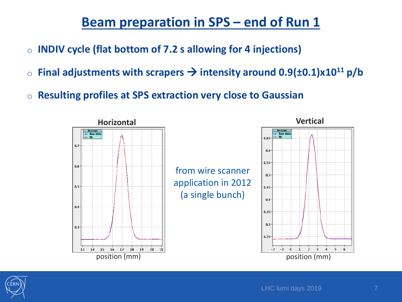## **Beam preparation in SPS – end of Run 1**

- o **INDIV cycle (flat bottom of 7.2 s allowing for 4 injections)**
- o **Final adjustments with scrapers intensity around 0.9(±0.1)x10<sup>11</sup> p/b**
- o **Resulting profiles at SPS extraction very close to Gaussian**





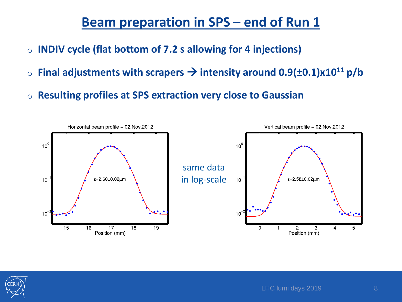#### **Beam preparation in SPS – end of Run 1**

- o **INDIV cycle (flat bottom of 7.2 s allowing for 4 injections)**
- o **Final adjustments with scrapers intensity around 0.9(±0.1)x10<sup>11</sup> p/b**
- o **Resulting profiles at SPS extraction very close to Gaussian**



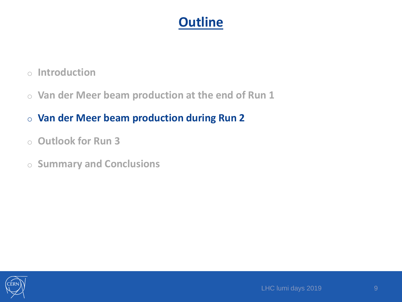- o **Introduction**
- o **Van der Meer beam production at the end of Run 1**
- o **Van der Meer beam production during Run 2**
- o **Outlook for Run 3**
- o **Summary and Conclusions**

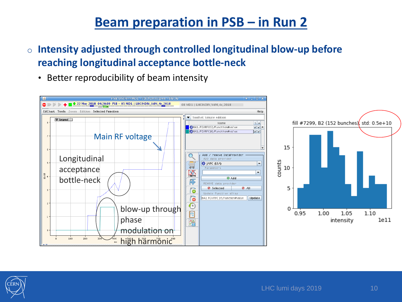- o **Intensity adjusted through controlled longitudinal blow-up before reaching longitudinal acceptance bottle-neck**
	- Better reproducibility of beam intensity



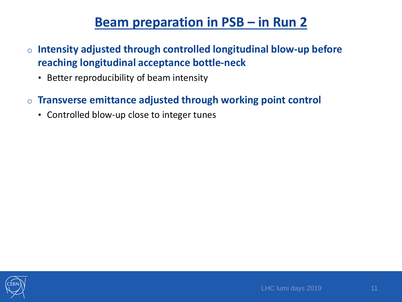- o **Intensity adjusted through controlled longitudinal blow-up before reaching longitudinal acceptance bottle-neck**
	- Better reproducibility of beam intensity
- o **Transverse emittance adjusted through working point control** 
	- Controlled blow-up close to integer tunes

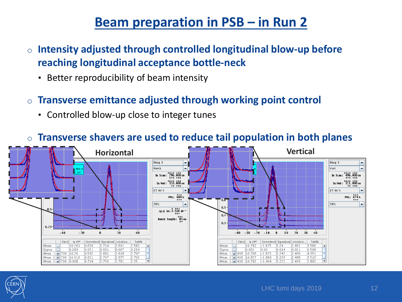- o **Intensity adjusted through controlled longitudinal blow-up before reaching longitudinal acceptance bottle-neck**
	- Better reproducibility of beam intensity
- o **Transverse emittance adjusted through working point control** 
	- Controlled blow-up close to integer tunes



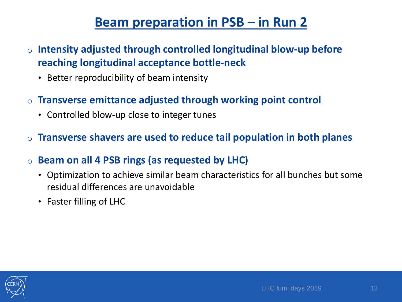- o **Intensity adjusted through controlled longitudinal blow-up before reaching longitudinal acceptance bottle-neck**
	- Better reproducibility of beam intensity
- o **Transverse emittance adjusted through working point control** 
	- Controlled blow-up close to integer tunes
- o **Transverse shavers are used to reduce tail population in both planes**
- o **Beam on all 4 PSB rings (as requested by LHC)**
	- Optimization to achieve similar beam characteristics for all bunches but some residual differences are unavoidable
	- Faster filling of LHC

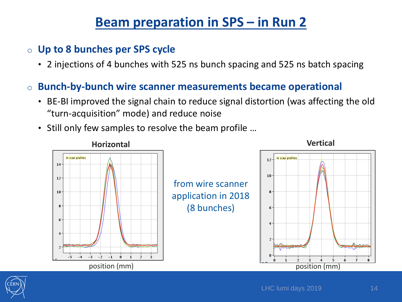- o **Up to 8 bunches per SPS cycle**
	- 2 injections of 4 bunches with 525 ns bunch spacing and 525 ns batch spacing
- o **Bunch-by-bunch wire scanner measurements became operational**
	- BE-BI improved the signal chain to reduce signal distortion (was affecting the old "turn-acquisition" mode) and reduce noise
	- Still only few samples to resolve the beam profile …



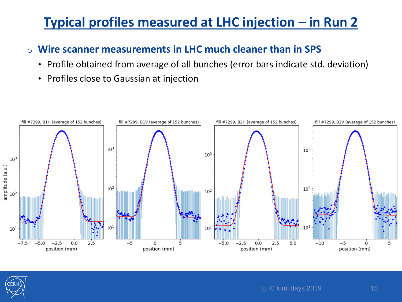## **Typical profiles measured at LHC injection – in Run 2**

#### o **Wire scanner measurements in LHC much cleaner than in SPS**

- Profile obtained from average of all bunches (error bars indicate std. deviation)
- Profiles close to Gaussian at injection



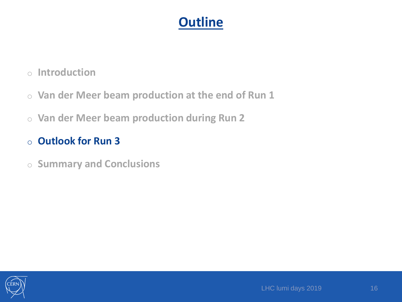- o **Introduction**
- o **Van der Meer beam production at the end of Run 1**
- o **Van der Meer beam production during Run 2**
- o **Outlook for Run 3**
- o **Summary and Conclusions**

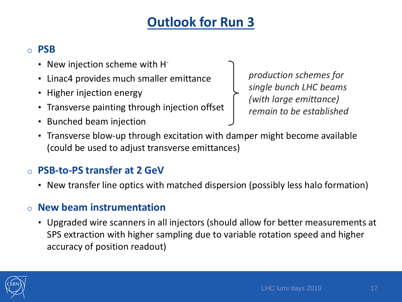## **Outlook for Run 3**

#### o **PSB**

- New injection scheme with H
- Linac4 provides much smaller emittance
- Higher injection energy
- Transverse painting through injection offset
- Bunched beam injection

*production schemes for single bunch LHC beams (with large emittance) remain to be established*

• Transverse blow-up through excitation with damper might become available (could be used to adjust transverse emittances)

#### **PSB-to-PS transfer at 2 GeV**

• New transfer line optics with matched dispersion (possibly less halo formation)

#### **New beam instrumentation**

• Upgraded wire scanners in all injectors (should allow for better measurements at SPS extraction with higher sampling due to variable rotation speed and higher accuracy of position readout)

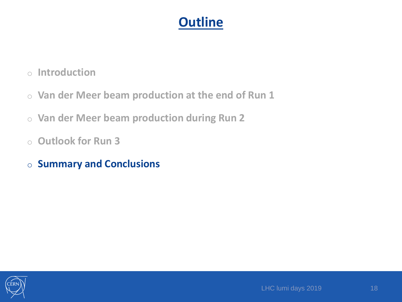- o **Introduction**
- o **Van der Meer beam production at the end of Run 1**
- o **Van der Meer beam production during Run 2**
- o **Outlook for Run 3**
- o **Summary and Conclusions**

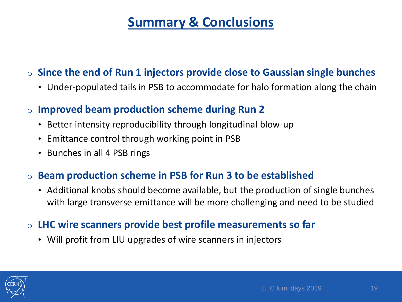## **Summary & Conclusions**

#### o **Since the end of Run 1 injectors provide close to Gaussian single bunches**

• Under-populated tails in PSB to accommodate for halo formation along the chain

#### o **Improved beam production scheme during Run 2**

- Better intensity reproducibility through longitudinal blow-up
- Emittance control through working point in PSB
- Bunches in all 4 PSB rings

#### o **Beam production scheme in PSB for Run 3 to be established**

• Additional knobs should become available, but the production of single bunches with large transverse emittance will be more challenging and need to be studied

#### o **LHC wire scanners provide best profile measurements so far**

• Will profit from LIU upgrades of wire scanners in injectors